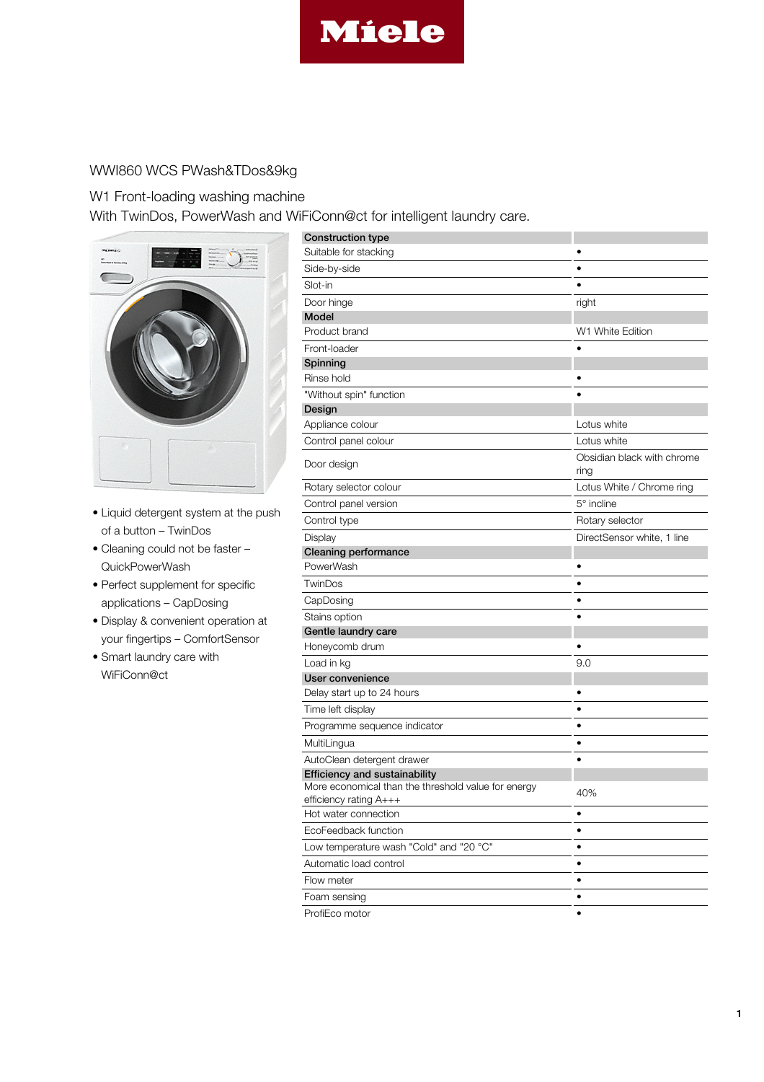

## WWI860 WCS PWash&TDos&9kg

## W1 Front-loading washing machine

With TwinDos, PowerWash and WiFiConn@ct for intelligent laundry care.



- Liquid detergent system at the push of a button – TwinDos
- Cleaning could not be faster QuickPowerWash
- Perfect supplement for specific applications – CapDosing
- Display & convenient operation at your fingertips – ComfortSensor
- Smart laundry care with WiFiConn@ct

| <b>Construction type</b><br>Suitable for stacking   |                            |
|-----------------------------------------------------|----------------------------|
|                                                     |                            |
| Side-by-side<br>Slot-in                             |                            |
|                                                     |                            |
| Door hinge                                          | right                      |
| Model<br>Product brand                              | W1 White Edition           |
| Front-loader                                        |                            |
| Spinning                                            |                            |
| Rinse hold                                          |                            |
| "Without spin" function                             |                            |
| Design                                              |                            |
| Appliance colour                                    | Lotus white                |
| Control panel colour                                | Lotus white                |
|                                                     | Obsidian black with chrome |
| Door design                                         | ring                       |
| Rotary selector colour                              | Lotus White / Chrome ring  |
| Control panel version                               | 5° incline                 |
| Control type                                        | Rotary selector            |
| Display                                             | DirectSensor white, 1 line |
| <b>Cleaning performance</b>                         |                            |
| PowerWash                                           |                            |
| TwinDos                                             | $\bullet$                  |
| CapDosing                                           |                            |
| Stains option                                       |                            |
| Gentle laundry care                                 |                            |
| Honeycomb drum                                      |                            |
| Load in kg                                          | 9.0                        |
| User convenience                                    |                            |
| Delay start up to 24 hours                          |                            |
| Time left display                                   |                            |
| Programme sequence indicator                        | ٠                          |
| MultiLingua                                         | ٠                          |
| AutoClean detergent drawer                          |                            |
| <b>Efficiency and sustainability</b>                |                            |
| More economical than the threshold value for energy | 40%                        |
| efficiency rating A+++<br>Hot water connection      | ٠                          |
| EcoFeedback function                                | $\bullet$                  |
| Low temperature wash "Cold" and "20 °C"             |                            |
|                                                     |                            |
| Automatic load control                              | $\bullet$                  |
| Flow meter                                          | ٠                          |
| Foam sensing                                        |                            |
| ProfiEco motor                                      | ٠                          |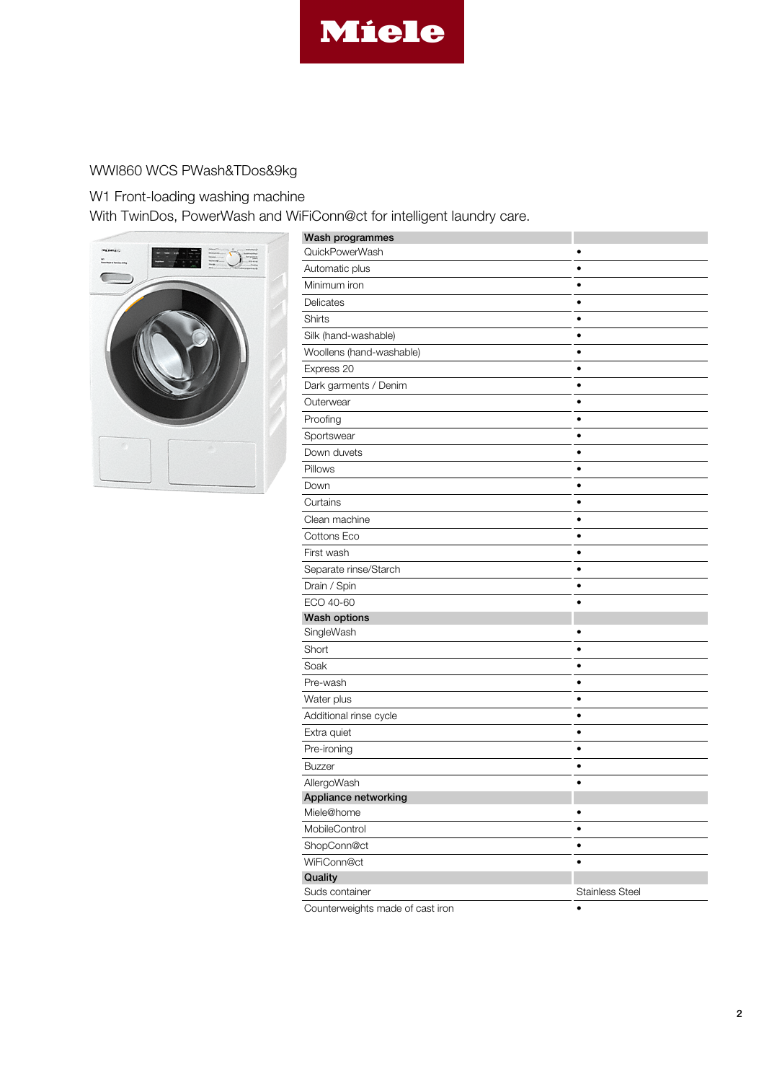

## WWI860 WCS PWash&TDos&9kg

W1 Front-loading washing machine

With TwinDos, PowerWash and WiFiConn@ct for intelligent laundry care.



| Wash programmes                  |                        |
|----------------------------------|------------------------|
| QuickPowerWash                   | ٠                      |
| Automatic plus                   |                        |
| Minimum iron                     |                        |
| Delicates                        | ٠                      |
| Shirts                           | $\bullet$              |
| Silk (hand-washable)             | ٠                      |
| Woollens (hand-washable)         | $\bullet$              |
| Express 20                       | $\bullet$              |
| Dark garments / Denim            | $\bullet$              |
| Outerwear                        | $\bullet$              |
| Proofing                         | ٠                      |
| Sportswear                       | ٠                      |
| Down duvets                      | $\bullet$              |
| Pillows                          | $\bullet$              |
| Down                             |                        |
| Curtains                         | ٠                      |
| Clean machine                    | ٠                      |
| Cottons Eco                      | ٠                      |
| First wash                       | $\bullet$              |
| Separate rinse/Starch            | ٠                      |
| Drain / Spin                     | ٠                      |
| ECO 40-60                        | $\bullet$              |
| Wash options                     |                        |
| SingleWash                       |                        |
| Short                            | $\bullet$              |
| Soak                             | ٠                      |
| Pre-wash                         | ٠                      |
| Water plus                       | $\bullet$              |
| Additional rinse cycle           | $\bullet$              |
| Extra quiet                      |                        |
| Pre-ironing                      | ٠                      |
| <b>Buzzer</b>                    | ٠                      |
| AllergoWash                      | ٠                      |
| Appliance networking             |                        |
| Miele@home                       | ٠                      |
| MobileControl                    | ٠                      |
| ShopConn@ct                      | $\bullet$              |
| WiFiConn@ct                      | $\bullet$              |
| Quality                          |                        |
| Suds container                   | <b>Stainless Steel</b> |
| Counterweights made of cast iron |                        |